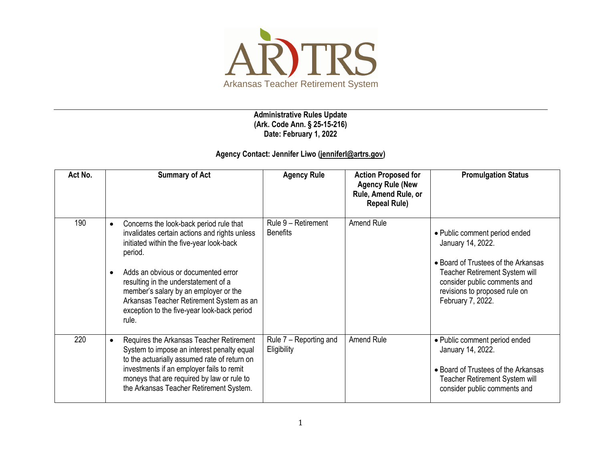

**Administrative Rules Update (Ark. Code Ann. § 25-15-216) Date: February 1, 2022**

## **Agency Contact: Jennifer Liwo [\(jenniferl@artrs.gov\)](mailto:jenniferl@artrs.gov)**

| Act No. | <b>Summary of Act</b>                                                                                                                                                                                                                                                                                                                                                                                 | <b>Agency Rule</b>                     | <b>Action Proposed for</b><br><b>Agency Rule (New</b><br>Rule, Amend Rule, or<br><b>Repeal Rule)</b> | <b>Promulgation Status</b>                                                                                                                                                                                        |
|---------|-------------------------------------------------------------------------------------------------------------------------------------------------------------------------------------------------------------------------------------------------------------------------------------------------------------------------------------------------------------------------------------------------------|----------------------------------------|------------------------------------------------------------------------------------------------------|-------------------------------------------------------------------------------------------------------------------------------------------------------------------------------------------------------------------|
| 190     | Concerns the look-back period rule that<br>$\bullet$<br>invalidates certain actions and rights unless<br>initiated within the five-year look-back<br>period.<br>Adds an obvious or documented error<br>$\bullet$<br>resulting in the understatement of a<br>member's salary by an employer or the<br>Arkansas Teacher Retirement System as an<br>exception to the five-year look-back period<br>rule. | Rule 9 - Retirement<br><b>Benefits</b> | Amend Rule                                                                                           | • Public comment period ended<br>January 14, 2022.<br>• Board of Trustees of the Arkansas<br>Teacher Retirement System will<br>consider public comments and<br>revisions to proposed rule on<br>February 7, 2022. |
| 220     | Requires the Arkansas Teacher Retirement<br>$\bullet$<br>System to impose an interest penalty equal<br>to the actuarially assumed rate of return on<br>investments if an employer fails to remit<br>moneys that are required by law or rule to<br>the Arkansas Teacher Retirement System.                                                                                                             | Rule 7 – Reporting and<br>Eligibility  | Amend Rule                                                                                           | • Public comment period ended<br>January 14, 2022.<br>• Board of Trustees of the Arkansas<br><b>Teacher Retirement System will</b><br>consider public comments and                                                |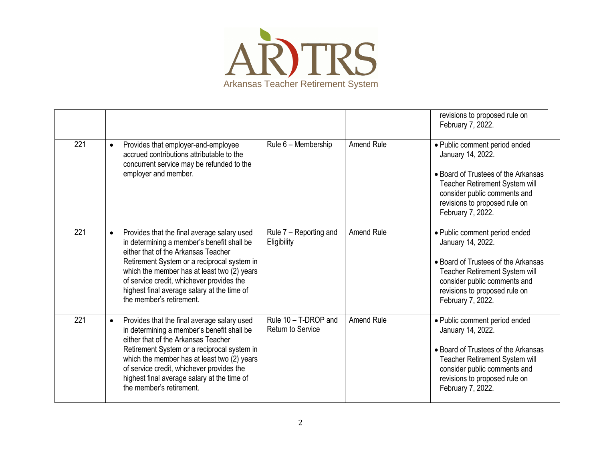

|     |           |                                                                                                                                                                                                                                                                                                                                                        |                                                  |                   | revisions to proposed rule on<br>February 7, 2022.                                                                                                                                                                |
|-----|-----------|--------------------------------------------------------------------------------------------------------------------------------------------------------------------------------------------------------------------------------------------------------------------------------------------------------------------------------------------------------|--------------------------------------------------|-------------------|-------------------------------------------------------------------------------------------------------------------------------------------------------------------------------------------------------------------|
| 221 | $\bullet$ | Provides that employer-and-employee<br>accrued contributions attributable to the<br>concurrent service may be refunded to the<br>employer and member.                                                                                                                                                                                                  | Rule 6 - Membership                              | Amend Rule        | • Public comment period ended<br>January 14, 2022.<br>• Board of Trustees of the Arkansas<br>Teacher Retirement System will<br>consider public comments and<br>revisions to proposed rule on<br>February 7, 2022. |
| 221 | $\bullet$ | Provides that the final average salary used<br>in determining a member's benefit shall be<br>either that of the Arkansas Teacher<br>Retirement System or a reciprocal system in<br>which the member has at least two (2) years<br>of service credit, whichever provides the<br>highest final average salary at the time of<br>the member's retirement. | Rule 7 - Reporting and<br>Eligibility            | <b>Amend Rule</b> | • Public comment period ended<br>January 14, 2022.<br>• Board of Trustees of the Arkansas<br>Teacher Retirement System will<br>consider public comments and<br>revisions to proposed rule on<br>February 7, 2022. |
| 221 | $\bullet$ | Provides that the final average salary used<br>in determining a member's benefit shall be<br>either that of the Arkansas Teacher<br>Retirement System or a reciprocal system in<br>which the member has at least two (2) years<br>of service credit, whichever provides the<br>highest final average salary at the time of<br>the member's retirement. | Rule 10 - T-DROP and<br><b>Return to Service</b> | Amend Rule        | • Public comment period ended<br>January 14, 2022.<br>• Board of Trustees of the Arkansas<br>Teacher Retirement System will<br>consider public comments and<br>revisions to proposed rule on<br>February 7, 2022. |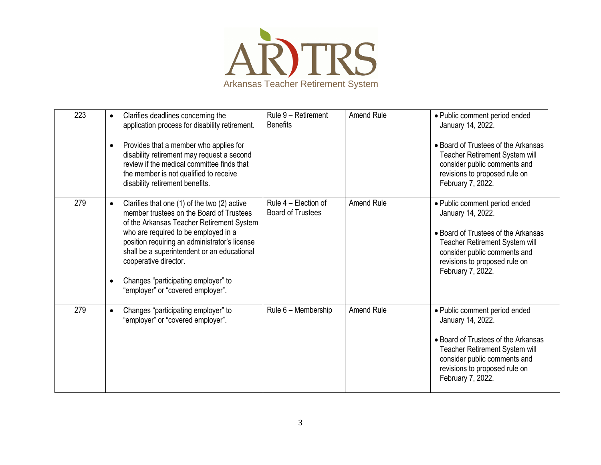

| 223 | Clarifies deadlines concerning the<br>$\bullet$<br>application process for disability retirement.<br>Provides that a member who applies for<br>$\bullet$<br>disability retirement may request a second<br>review if the medical committee finds that<br>the member is not qualified to receive<br>disability retirement benefits.                                                                            | Rule 9 - Retirement<br><b>Benefits</b>           | <b>Amend Rule</b> | • Public comment period ended<br>January 14, 2022.<br>• Board of Trustees of the Arkansas<br>Teacher Retirement System will<br>consider public comments and<br>revisions to proposed rule on<br>February 7, 2022. |
|-----|--------------------------------------------------------------------------------------------------------------------------------------------------------------------------------------------------------------------------------------------------------------------------------------------------------------------------------------------------------------------------------------------------------------|--------------------------------------------------|-------------------|-------------------------------------------------------------------------------------------------------------------------------------------------------------------------------------------------------------------|
| 279 | Clarifies that one (1) of the two (2) active<br>$\bullet$<br>member trustees on the Board of Trustees<br>of the Arkansas Teacher Retirement System<br>who are required to be employed in a<br>position requiring an administrator's license<br>shall be a superintendent or an educational<br>cooperative director.<br>Changes "participating employer" to<br>$\bullet$<br>"employer" or "covered employer". | Rule 4 - Election of<br><b>Board of Trustees</b> | Amend Rule        | · Public comment period ended<br>January 14, 2022.<br>• Board of Trustees of the Arkansas<br>Teacher Retirement System will<br>consider public comments and<br>revisions to proposed rule on<br>February 7, 2022. |
| 279 | Changes "participating employer" to<br>$\bullet$<br>"employer" or "covered employer".                                                                                                                                                                                                                                                                                                                        | Rule 6 - Membership                              | <b>Amend Rule</b> | · Public comment period ended<br>January 14, 2022.<br>• Board of Trustees of the Arkansas<br>Teacher Retirement System will<br>consider public comments and<br>revisions to proposed rule on<br>February 7, 2022. |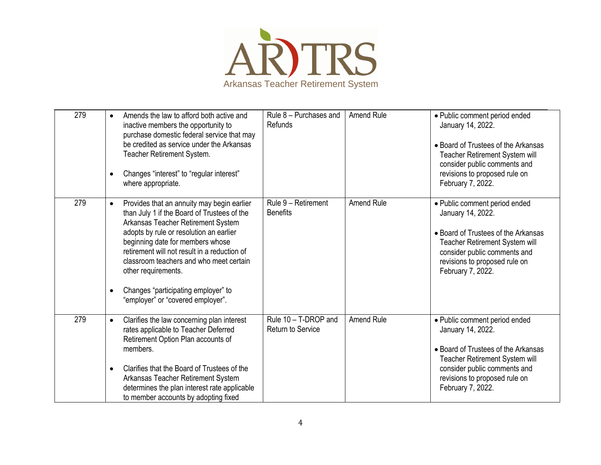

| 279 | Amends the law to afford both active and<br>$\bullet$<br>inactive members the opportunity to<br>purchase domestic federal service that may<br>be credited as service under the Arkansas<br>Teacher Retirement System.<br>Changes "interest" to "regular interest"<br>$\bullet$<br>where appropriate.                                                                                                                                   | Rule 8 - Purchases and<br>Refunds                | Amend Rule        | · Public comment period ended<br>January 14, 2022.<br>• Board of Trustees of the Arkansas<br>Teacher Retirement System will<br>consider public comments and<br>revisions to proposed rule on<br>February 7, 2022. |
|-----|----------------------------------------------------------------------------------------------------------------------------------------------------------------------------------------------------------------------------------------------------------------------------------------------------------------------------------------------------------------------------------------------------------------------------------------|--------------------------------------------------|-------------------|-------------------------------------------------------------------------------------------------------------------------------------------------------------------------------------------------------------------|
| 279 | Provides that an annuity may begin earlier<br>$\bullet$<br>than July 1 if the Board of Trustees of the<br>Arkansas Teacher Retirement System<br>adopts by rule or resolution an earlier<br>beginning date for members whose<br>retirement will not result in a reduction of<br>classroom teachers and who meet certain<br>other requirements.<br>Changes "participating employer" to<br>$\bullet$<br>"employer" or "covered employer". | Rule 9 - Retirement<br><b>Benefits</b>           | <b>Amend Rule</b> | · Public comment period ended<br>January 14, 2022.<br>• Board of Trustees of the Arkansas<br>Teacher Retirement System will<br>consider public comments and<br>revisions to proposed rule on<br>February 7, 2022. |
| 279 | Clarifies the law concerning plan interest<br>$\bullet$<br>rates applicable to Teacher Deferred<br>Retirement Option Plan accounts of<br>members.<br>Clarifies that the Board of Trustees of the<br>$\bullet$<br>Arkansas Teacher Retirement System<br>determines the plan interest rate applicable<br>to member accounts by adopting fixed                                                                                            | Rule 10 - T-DROP and<br><b>Return to Service</b> | Amend Rule        | • Public comment period ended<br>January 14, 2022.<br>• Board of Trustees of the Arkansas<br>Teacher Retirement System will<br>consider public comments and<br>revisions to proposed rule on<br>February 7, 2022. |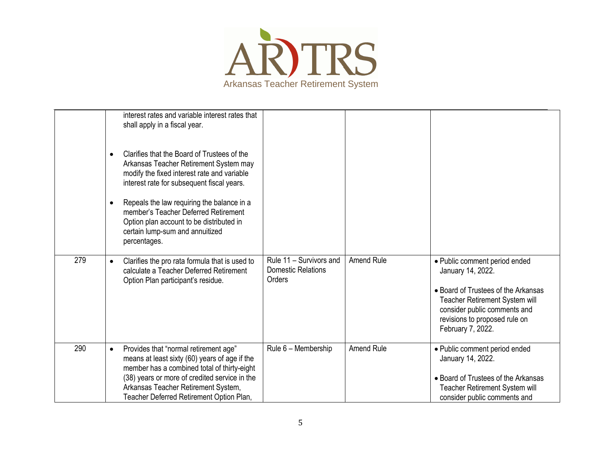

|     | interest rates and variable interest rates that<br>shall apply in a fiscal year.<br>Clarifies that the Board of Trustees of the<br>$\bullet$<br>Arkansas Teacher Retirement System may<br>modify the fixed interest rate and variable<br>interest rate for subsequent fiscal years.<br>Repeals the law requiring the balance in a<br>$\bullet$<br>member's Teacher Deferred Retirement<br>Option plan account to be distributed in<br>certain lump-sum and annuitized<br>percentages. |                                                                |                   |                                                                                                                                                                                                                   |
|-----|---------------------------------------------------------------------------------------------------------------------------------------------------------------------------------------------------------------------------------------------------------------------------------------------------------------------------------------------------------------------------------------------------------------------------------------------------------------------------------------|----------------------------------------------------------------|-------------------|-------------------------------------------------------------------------------------------------------------------------------------------------------------------------------------------------------------------|
| 279 | Clarifies the pro rata formula that is used to<br>$\bullet$<br>calculate a Teacher Deferred Retirement<br>Option Plan participant's residue.                                                                                                                                                                                                                                                                                                                                          | Rule 11 - Survivors and<br><b>Domestic Relations</b><br>Orders | <b>Amend Rule</b> | • Public comment period ended<br>January 14, 2022.<br>• Board of Trustees of the Arkansas<br>Teacher Retirement System will<br>consider public comments and<br>revisions to proposed rule on<br>February 7, 2022. |
| 290 | Provides that "normal retirement age"<br>$\bullet$<br>means at least sixty (60) years of age if the<br>member has a combined total of thirty-eight<br>(38) years or more of credited service in the<br>Arkansas Teacher Retirement System,<br>Teacher Deferred Retirement Option Plan,                                                                                                                                                                                                | Rule 6 - Membership                                            | <b>Amend Rule</b> | • Public comment period ended<br>January 14, 2022.<br>• Board of Trustees of the Arkansas<br>Teacher Retirement System will<br>consider public comments and                                                       |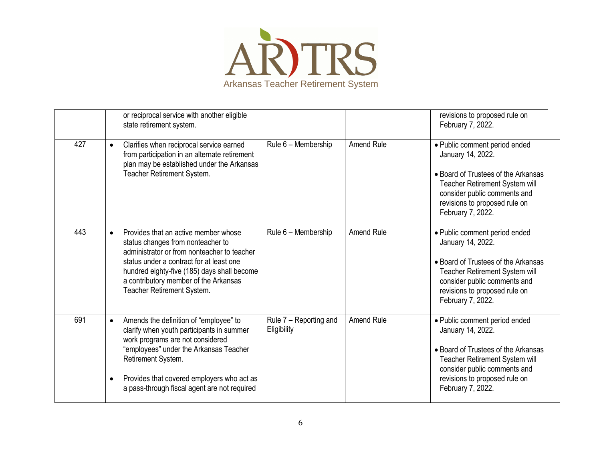

|     | or reciprocal service with another eligible<br>state retirement system.                                                                                                                                                                                                                                         |                                       |                   | revisions to proposed rule on<br>February 7, 2022.                                                                                                                                                                |
|-----|-----------------------------------------------------------------------------------------------------------------------------------------------------------------------------------------------------------------------------------------------------------------------------------------------------------------|---------------------------------------|-------------------|-------------------------------------------------------------------------------------------------------------------------------------------------------------------------------------------------------------------|
| 427 | Clarifies when reciprocal service earned<br>$\bullet$<br>from participation in an alternate retirement<br>plan may be established under the Arkansas<br>Teacher Retirement System.                                                                                                                              | Rule 6 - Membership                   | <b>Amend Rule</b> | • Public comment period ended<br>January 14, 2022.<br>• Board of Trustees of the Arkansas<br>Teacher Retirement System will<br>consider public comments and<br>revisions to proposed rule on<br>February 7, 2022. |
| 443 | Provides that an active member whose<br>$\bullet$<br>status changes from nonteacher to<br>administrator or from nonteacher to teacher<br>status under a contract for at least one<br>hundred eighty-five (185) days shall become<br>a contributory member of the Arkansas<br>Teacher Retirement System.         | Rule 6 - Membership                   | <b>Amend Rule</b> | • Public comment period ended<br>January 14, 2022.<br>• Board of Trustees of the Arkansas<br>Teacher Retirement System will<br>consider public comments and<br>revisions to proposed rule on<br>February 7, 2022. |
| 691 | Amends the definition of "employee" to<br>$\bullet$<br>clarify when youth participants in summer<br>work programs are not considered<br>"employees" under the Arkansas Teacher<br>Retirement System.<br>Provides that covered employers who act as<br>$\bullet$<br>a pass-through fiscal agent are not required | Rule 7 - Reporting and<br>Eligibility | <b>Amend Rule</b> | · Public comment period ended<br>January 14, 2022.<br>• Board of Trustees of the Arkansas<br>Teacher Retirement System will<br>consider public comments and<br>revisions to proposed rule on<br>February 7, 2022. |